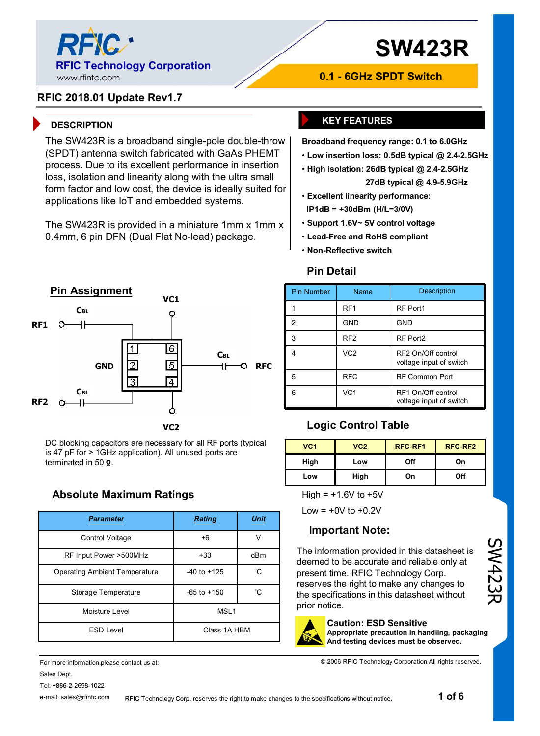

# **SW423R**

#### **RFIC 2018.01 Update Rev1.7**

### **DESCRIPTION KEY FEATURES**

The SW423R is a broadband single-pole double-throw (SPDT) antenna switch fabricated with GaAs PHEMT process. Due to its excellent performance in insertion loss, isolation and linearity along with the ultra small form factor and low cost, the device is ideally suited for applications like IoT and embedded systems.

The SW423R is provided in a miniature 1mm x 1mm x 0.4mm, 6 pin DFN (Dual Flat No-lead) package.



DC blocking capacitors are necessary for all RF ports (typical is 47 pF for > 1GHz application). All unused ports are terminated in 50 **Ω**.

### **Absolute Maximum Ratings**

| <b>Parameter</b>              | <b>Rating</b>         | <b>Unit</b> |  |
|-------------------------------|-----------------------|-------------|--|
| Control Voltage               | $+6$                  | V           |  |
| RF Input Power >500MHz        | $+33$                 | dBm         |  |
| Operating Ambient Temperature | $-40$ to $+125$       | °С          |  |
| Storage Temperature           | °С<br>$-65$ to $+150$ |             |  |
| Moisture Level                | MSL <sub>1</sub>      |             |  |
| <b>ESD Level</b>              | Class 1A HBM          |             |  |

For more information,please contact us at: Sales Dept. Tel: +886-2-2698-1022

e-mail: sales@rfintc.com

**Broadband frequency range: 0.1 to 6.0GHz** 

**0.1 - 6GHz SPDT Switch**

- **Low insertion loss: 0.5dB typical @ 2.4-2.5GHz**
- **High isolation: 26dB typical @ 2.4-2.5GHz 27dB typical @ 4.9-5.9GHz**
- **Excellent linearity performance: IP1dB = +30dBm (H/L=3/0V)**
- **Support 1.6V~ 5V control voltage**
- **Lead-Free and RoHS compliant**
- **Non-Reflective switch**

#### **Pin Detail**

| <b>Pin Number</b> | Name            | <b>Description</b>                            |  |
|-------------------|-----------------|-----------------------------------------------|--|
|                   | RF <sub>1</sub> | RF Port1                                      |  |
| 2                 | <b>GND</b>      | <b>GND</b>                                    |  |
| 3                 | RF <sub>2</sub> | RF Port2                                      |  |
|                   | VC <sub>2</sub> | RF2 On/Off control<br>voltage input of switch |  |
| 5                 | <b>RFC</b>      | <b>RF Common Port</b>                         |  |
| ี่ค               | VC <sub>1</sub> | RF1 On/Off control<br>voltage input of switch |  |

| VC <sub>1</sub> | VC <sub>2</sub> | RFC-RF1 | RFC-RF2 |
|-----------------|-----------------|---------|---------|
| High            | Low             | Off     | On      |
| Low             | High            | On      | Off     |

High =  $+1.6V$  to  $+5V$ 

 $Low = +0V$  to  $+0.2V$ 

#### **Important Note:**

The information provided in this datasheet is deemed to be accurate and reliable only at present time. RFIC Technology Corp. reserves the right to make any changes to the specifications in this datasheet without prior notice.



#### **Caution: ESD Sensitive**

**Appropriate precaution in handling, packaging And testing devices must be observed.**

© 2006 RFIC Technology Corporation All rights reserved.

SW423R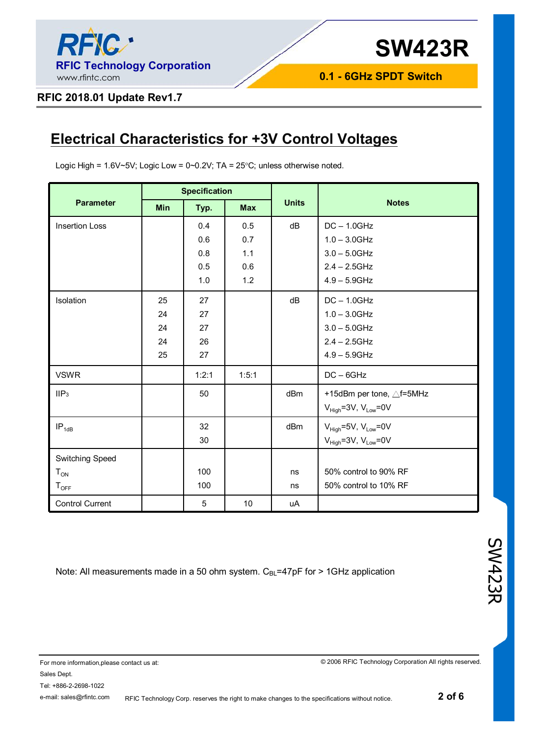

#### **RFIC 2018.01 Update Rev1.7**

## **Electrical Characteristics for +3V Control Voltages**

Logic High =  $1.6V \sim 5V$ ; Logic Low =  $0 \sim 0.2V$ ; TA =  $25°C$ ; unless otherwise noted.

|                        | <b>Specification</b> |       |            |              |                                  |
|------------------------|----------------------|-------|------------|--------------|----------------------------------|
| <b>Parameter</b>       | Min                  | Typ.  | <b>Max</b> | <b>Units</b> | <b>Notes</b>                     |
| <b>Insertion Loss</b>  |                      | 0.4   | 0.5        | dB           | $DC - 1.0GHz$                    |
|                        |                      | 0.6   | 0.7        |              | $1.0 - 3.0$ GHz                  |
|                        |                      | 0.8   | 1.1        |              | $3.0 - 5.0$ GHz                  |
|                        |                      | 0.5   | 0.6        |              | $2.4 - 2.5$ GHz                  |
|                        |                      | 1.0   | 1.2        |              | $4.9 - 5.9$ GHz                  |
| Isolation              | 25                   | 27    |            | dB           | $DC - 1.0GHz$                    |
|                        | 24                   | 27    |            |              | $1.0 - 3.0$ GHz                  |
|                        | 24                   | 27    |            |              | $3.0 - 5.0$ GHz                  |
|                        | 24                   | 26    |            |              | $2.4 - 2.5$ GHz                  |
|                        | 25                   | 27    |            |              | $4.9 - 5.9$ GHz                  |
| <b>VSWR</b>            |                      | 1:2:1 | 1:5:1      |              | $DC - 6GHz$                      |
| IIIP <sub>3</sub>      |                      | 50    |            | dBm          | +15dBm per tone, △f=5MHz         |
|                        |                      |       |            |              | $V_{High}$ =3V, $V_{Low}$ =0V    |
| $IP_{1dB}$             |                      | 32    |            | dBm          | $V_{High}$ =5V, $V_{Low}$ =0V    |
|                        |                      | 30    |            |              | $V_{High} = 3V$ , $V_{Low} = 0V$ |
| Switching Speed        |                      |       |            |              |                                  |
| $T_{ON}$               |                      | 100   |            | ns           | 50% control to 90% RF            |
| $T_{\text{OFF}}$       |                      | 100   |            | ns           | 50% control to 10% RF            |
| <b>Control Current</b> |                      | 5     | 10         | uA           |                                  |

Note: All measurements made in a 50 ohm system. C<sub>BL</sub>=47pF for > 1GHz application

© 2006 RFIC Technology Corporation All rights reserved.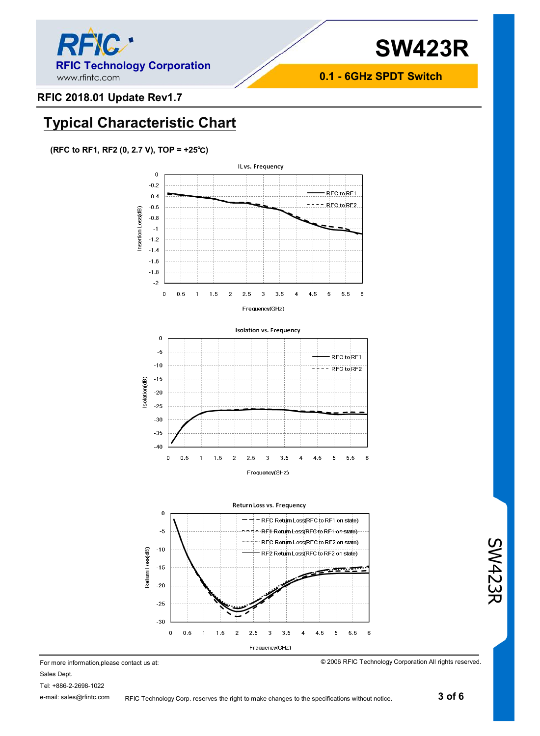

#### **RFIC 2018.01 Update Rev1.7**

### **Typical Characteristic Chart**

#### **(RFC to RF1, RF2 (0, 2.7 V), TOP = +25℃)**







For more information,please contact us at: Sales Dept. Tel: +886-2-2698-1022

e-mail: sales@rfintc.com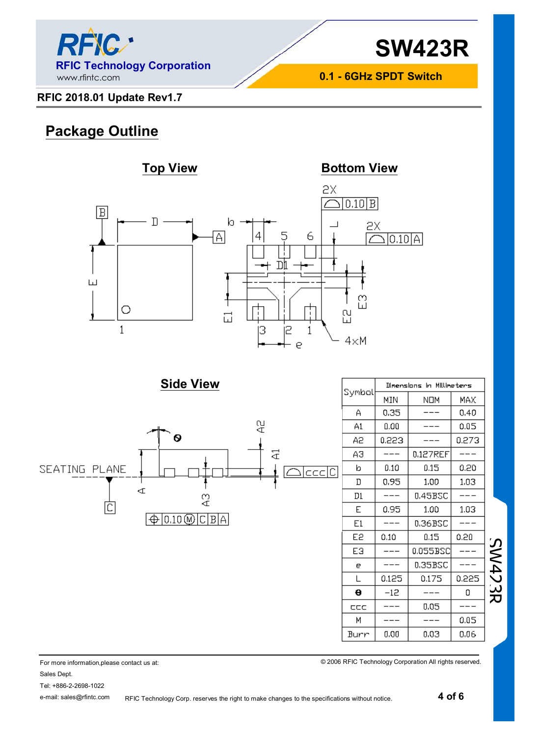

### **RFIC 2018.01 Update Rev1.7**

### **Package Outline**



**Side View**



| Symbal | Dimensions in Millineters |          |       |  |  |
|--------|---------------------------|----------|-------|--|--|
|        | MIN                       | NOM      | MAX   |  |  |
| А      | 0.35                      |          | 0,40  |  |  |
| A1     | 0.00                      |          | 0.05  |  |  |
| А2     | 0.223                     |          | 0.273 |  |  |
| ΑЭ     |                           | 0.127REF |       |  |  |
| b      | 0.10                      | 0.15     | 0.20  |  |  |
| D      | 0.95                      | 1.00     | 1.03  |  |  |
| D1     |                           | 0.45BSC  |       |  |  |
| E      | 0.95                      | 1.00     | 1.03  |  |  |
| E1     |                           | 0.36BSC  |       |  |  |
| E2     | 0.10                      | 0.15     | 0.20  |  |  |
| EЭ     |                           | 0.055BSC |       |  |  |
| е      |                           | 0.35BSC  |       |  |  |
| L      | 0.125                     | 0.175    | 0.225 |  |  |
| θ      | $-12$                     |          | 0     |  |  |
| CCC    |                           | 0.05     |       |  |  |
| М      |                           |          | 0.05  |  |  |
| Burr   | 0.00                      | 0.03     | 0.06  |  |  |

© 2006 RFIC Technology Corporation All rights reserved.

SW423R

For more information,please contact us at: Sales Dept.

Tel: +886-2-2698-1022

e-mail: sales@rfintc.com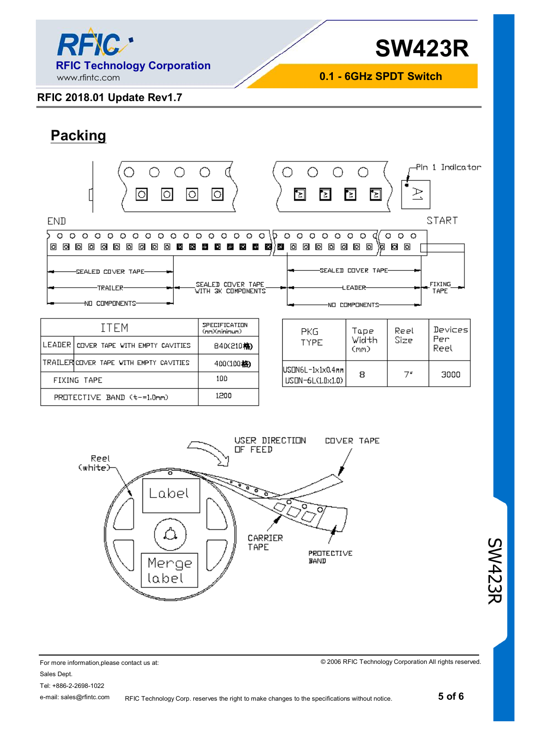

### **RFIC 2018.01 Update Rev1.7**

## **Packing**

| -Pln 1 Indicator<br>R<br>О<br>ľ≍l<br>Þ<br>B.<br>ΓŁ.                                                                                                                                                   |                                                                                                                    |                   |                                                      |                                                                                 |                                   |                       |  |
|-------------------------------------------------------------------------------------------------------------------------------------------------------------------------------------------------------|--------------------------------------------------------------------------------------------------------------------|-------------------|------------------------------------------------------|---------------------------------------------------------------------------------|-----------------------------------|-----------------------|--|
| <b>END</b>                                                                                                                                                                                            |                                                                                                                    |                   |                                                      |                                                                                 |                                   | <b>START</b>          |  |
| $\circ$<br>$\circ$<br>o<br>о<br>o<br>O<br>O<br>O<br>O<br>◠<br>o<br>Ω<br>o<br>o.<br>o<br>◙<br>同<br>o<br>o<br>同<br>ाञ<br>ाठा<br>E.<br><b>SS</b><br>SEALED COVER TAPE-<br>-TRAILER-<br>COMPONENTS-<br>NП | O<br>۰<br>o<br>Ο<br>в<br>鉴<br>Е<br>$\mathcal{L}_{\mathcal{D}}$<br>ish i<br>SEALED COVER TAPE<br>WITH 3K COMPONENTS | O<br>ח<br>酒<br>E. | O<br>o<br>$\circ$<br>o<br>Ω<br>o<br>o<br>⊡<br>o<br>o | o<br>O<br>⊡<br>⊡<br>۱ы<br>SEALED COVER TAPE-<br><b>LEADER-</b><br>NO COMPONENTS | $\circ$<br>$\circ$<br>o<br>Ø<br>o | <b>FIXING</b><br>TAPE |  |
| ITEM                                                                                                                                                                                                  | SPECIFICATION<br>(nm)(nininun)                                                                                     |                   | <b>PKG</b>                                           | Tape                                                                            | Reel                              | Devices               |  |
| LEADER<br>COVER TAPE WITH EMPTY CAVITIES                                                                                                                                                              | B4D(210格)                                                                                                          |                   | TYPE                                                 | Width<br>(mm)                                                                   | Size                              | Per<br>Reel           |  |

|                            |                                        | servanimenta |
|----------------------------|----------------------------------------|--------------|
|                            | LEADER COVER TAPE WITH EMPTY CAVITIES  | B40(210格)    |
|                            | TRAILERICOVER TAPE WITH EMPTY CAVITIES | 400(100格)    |
|                            | FIXING TAPE                            | 100          |
| PROTECTIVE BAND (t-=1.0mm) |                                        | 1200         |

| PKG<br>TYPE                               | Tape<br>Width<br>(mm) | Reel<br>Size | Devices<br>Per<br>Reel |
|-------------------------------------------|-----------------------|--------------|------------------------|
| lUSON6L-1x1x0.4mml<br>$LISIN-6L(1,0×1,0)$ | 8                     | 7"           | 3000                   |



#### For more information,please contact us at: Sales Dept. Tel: +886-2-2698-1022 e-mail: sales@rfintc.com

© 2006 RFIC Technology Corporation All rights reserved.